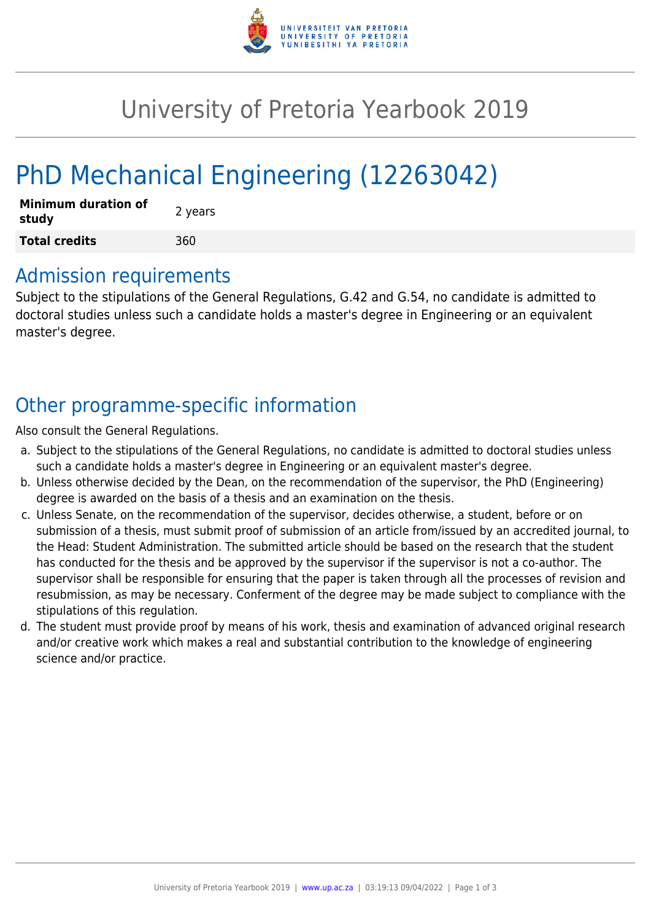

## University of Pretoria Yearbook 2019

# PhD Mechanical Engineering (12263042)

| <b>Minimum duration of</b><br>study | 2 years |
|-------------------------------------|---------|
| <b>Total credits</b>                | 360     |

### Admission requirements

Subject to the stipulations of the General Regulations, G.42 and G.54, no candidate is admitted to doctoral studies unless such a candidate holds a master's degree in Engineering or an equivalent master's degree.

## Other programme-specific information

Also consult the General Regulations.

- a. Subject to the stipulations of the General Regulations, no candidate is admitted to doctoral studies unless such a candidate holds a master's degree in Engineering or an equivalent master's degree.
- b. Unless otherwise decided by the Dean, on the recommendation of the supervisor, the PhD (Engineering) degree is awarded on the basis of a thesis and an examination on the thesis.
- c. Unless Senate, on the recommendation of the supervisor, decides otherwise, a student, before or on submission of a thesis, must submit proof of submission of an article from/issued by an accredited journal, to the Head: Student Administration. The submitted article should be based on the research that the student has conducted for the thesis and be approved by the supervisor if the supervisor is not a co-author. The supervisor shall be responsible for ensuring that the paper is taken through all the processes of revision and resubmission, as may be necessary. Conferment of the degree may be made subject to compliance with the stipulations of this regulation.
- d. The student must provide proof by means of his work, thesis and examination of advanced original research and/or creative work which makes a real and substantial contribution to the knowledge of engineering science and/or practice.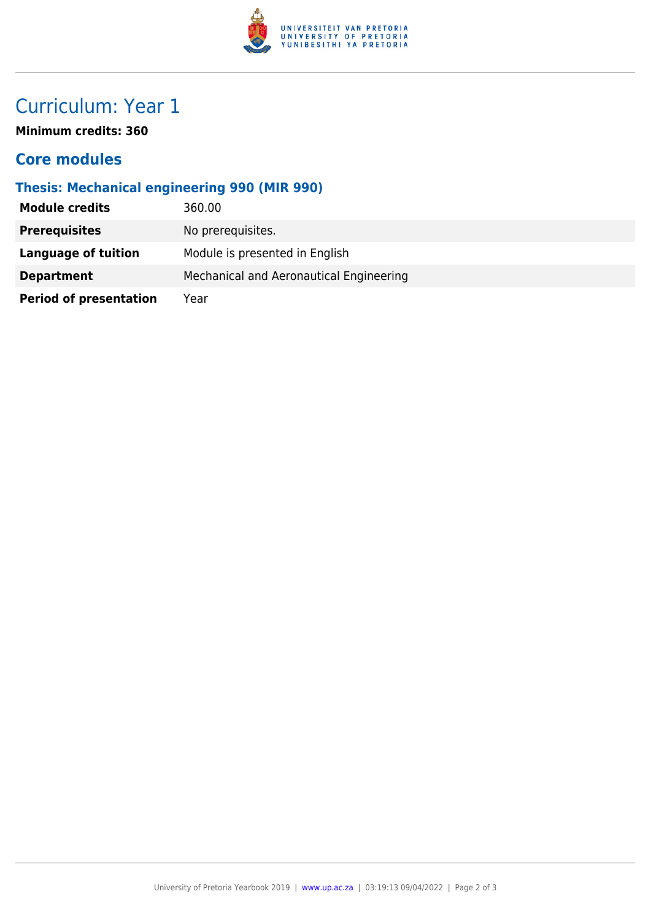

## Curriculum: Year 1

**Minimum credits: 360**

#### **Core modules**

#### **Thesis: Mechanical engineering 990 (MIR 990)**

| <b>Module credits</b>         | 360.00                                  |
|-------------------------------|-----------------------------------------|
| <b>Prerequisites</b>          | No prerequisites.                       |
| Language of tuition           | Module is presented in English          |
| <b>Department</b>             | Mechanical and Aeronautical Engineering |
| <b>Period of presentation</b> | Year                                    |